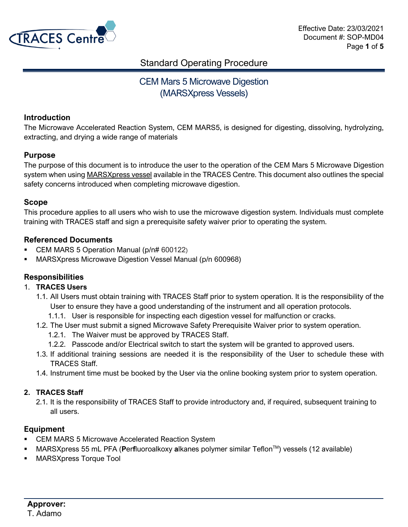

## CEM Mars 5 Microwave Digestion (MARSXpress Vessels)

## **Introduction**

The Microwave Accelerated Reaction System, CEM MARS5, is designed for digesting, dissolving, hydrolyzing, extracting, and drying a wide range of materials

## **Purpose**

The purpose of this document is to introduce the user to the operation of the CEM Mars 5 Microwave Digestion system when using MARSXpress vessel available in the TRACES Centre. This document also outlines the special safety concerns introduced when completing microwave digestion.

## **Scope**

This procedure applies to all users who wish to use the microwave digestion system. Individuals must complete training with TRACES staff and sign a prerequisite safety waiver prior to operating the system.

## **Referenced Documents**

- CEM MARS 5 Operation Manual (p/n# 600122)
- MARSXpress Microwave Digestion Vessel Manual (p/n 600968)

## **Responsibilities**

#### 1. **TRACES Users**

- 1.1. All Users must obtain training with TRACES Staff prior to system operation. It is the responsibility of the User to ensure they have a good understanding of the instrument and all operation protocols.
	- 1.1.1. User is responsible for inspecting each digestion vessel for malfunction or cracks.
- 1.2. The User must submit a signed Microwave Safety Prerequisite Waiver prior to system operation.
	- 1.2.1. The Waiver must be approved by TRACES Staff.
	- 1.2.2. Passcode and/or Electrical switch to start the system will be granted to approved users.
- 1.3. If additional training sessions are needed it is the responsibility of the User to schedule these with TRACES Staff.
- 1.4. Instrument time must be booked by the User via the online booking system prior to system operation.

## **2. TRACES Staff**

2.1. It is the responsibility of TRACES Staff to provide introductory and, if required, subsequent training to all users.

## **Equipment**

- CEM MARS 5 Microwave Accelerated Reaction System
- MARSXpress 55 mL PFA (**P**er**f**luoroalkoxy **a**lkanes polymer similar TeflonTM) vessels (12 available)
- MARSXpress Torque Tool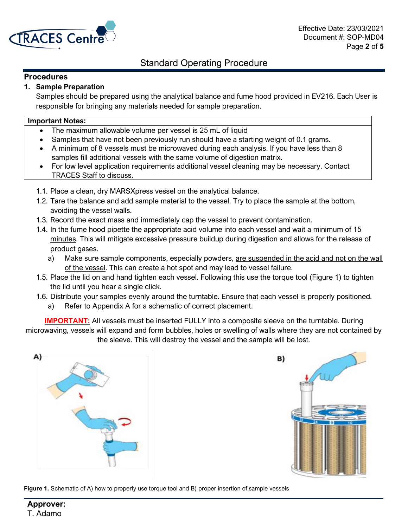

## **Procedures**

## **1. Sample Preparation**

Samples should be prepared using the analytical balance and fume hood provided in EV216. Each User is responsible for bringing any materials needed for sample preparation.

#### **Important Notes:**

- The maximum allowable volume per vessel is 25 mL of liquid
- Samples that have not been previously run should have a starting weight of 0.1 grams.
- A minimum of 8 vessels must be microwaved during each analysis. If you have less than 8 samples fill additional vessels with the same volume of digestion matrix.
- For low level application requirements additional vessel cleaning may be necessary. Contact TRACES Staff to discuss.
- 1.1. Place a clean, dry MARSXpress vessel on the analytical balance.
- 1.2. Tare the balance and add sample material to the vessel. Try to place the sample at the bottom, avoiding the vessel walls.
- 1.3. Record the exact mass and immediately cap the vessel to prevent contamination.
- 1.4. In the fume hood pipette the appropriate acid volume into each vessel and wait a minimum of 15 minutes. This will mitigate excessive pressure buildup during digestion and allows for the release of product gases.
	- a) Make sure sample components, especially powders, are suspended in the acid and not on the wall of the vessel. This can create a hot spot and may lead to vessel failure.
- 1.5. Place the lid on and hand tighten each vessel. Following this use the torque tool (Figure 1) to tighten the lid until you hear a single click.
- 1.6. Distribute your samples evenly around the turntable. Ensure that each vessel is properly positioned.
	- a) Refer to Appendix A for a schematic of correct placement.

**IMPORTANT:** All vessels must be inserted FULLY into a composite sleeve on the turntable. During microwaving, vessels will expand and form bubbles, holes or swelling of walls where they are not contained by the sleeve. This will destroy the vessel and the sample will be lost.





**Figure 1.** Schematic of A) how to properly use torque tool and B) proper insertion of sample vessels

**Approver:** T. Adamo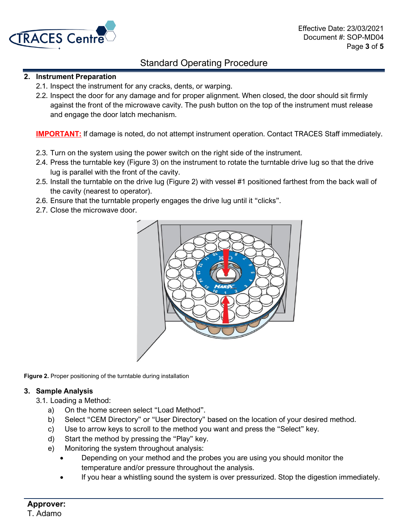

## **2. Instrument Preparation**

- 2.1. Inspect the instrument for any cracks, dents, or warping.
- 2.2. Inspect the door for any damage and for proper alignment. When closed, the door should sit firmly against the front of the microwave cavity. The push button on the top of the instrument must release and engage the door latch mechanism.

**IMPORTANT:** If damage is noted, do not attempt instrument operation. Contact TRACES Staff immediately.

- 2.3. Turn on the system using the power switch on the right side of the instrument.
- 2.4. Press the turntable key (Figure 3) on the instrument to rotate the turntable drive lug so that the drive lug is parallel with the front of the cavity.
- 2.5. Install the turntable on the drive lug (Figure 2) with vessel #1 positioned farthest from the back wall of the cavity (nearest to operator).
- 2.6. Ensure that the turntable properly engages the drive lug until it "clicks".
- 2.7. Close the microwave door.



**Figure 2.** Proper positioning of the turntable during installation

## **3. Sample Analysis**

- 3.1. Loading a Method:
	- a) On the home screen select "Load Method".
	- b) Select "CEM Directory" or "User Directory" based on the location of your desired method.
	- c) Use to arrow keys to scroll to the method you want and press the "Select" key.
	- d) Start the method by pressing the "Play" key.
	- e) Monitoring the system throughout analysis:
		- Depending on your method and the probes you are using you should monitor the temperature and/or pressure throughout the analysis.
		- If you hear a whistling sound the system is over pressurized. Stop the digestion immediately.

## **Approver:** T. Adamo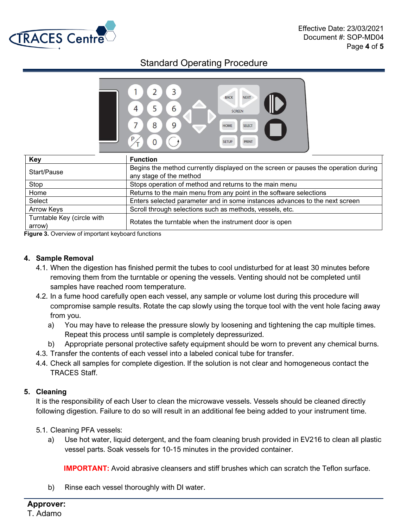



| Key                                  | <b>Function</b>                                                                                               |
|--------------------------------------|---------------------------------------------------------------------------------------------------------------|
| Start/Pause                          | Begins the method currently displayed on the screen or pauses the operation during<br>any stage of the method |
| Stop                                 | Stops operation of method and returns to the main menu                                                        |
| Home                                 | Returns to the main menu from any point in the software selections                                            |
| Select                               | Enters selected parameter and in some instances advances to the next screen                                   |
| <b>Arrow Keys</b>                    | Scroll through selections such as methods, vessels, etc.                                                      |
| Turntable Key (circle with<br>arrow) | Rotates the turntable when the instrument door is open                                                        |

**Figure 3.** Overview of important keyboard functions

## **4. Sample Removal**

- 4.1. When the digestion has finished permit the tubes to cool undisturbed for at least 30 minutes before removing them from the turntable or opening the vessels. Venting should not be completed until samples have reached room temperature.
- 4.2. In a fume hood carefully open each vessel, any sample or volume lost during this procedure will compromise sample results. Rotate the cap slowly using the torque tool with the vent hole facing away from you.
	- a) You may have to release the pressure slowly by loosening and tightening the cap multiple times. Repeat this process until sample is completely depressurized.
	- b) Appropriate personal protective safety equipment should be worn to prevent any chemical burns.
- 4.3. Transfer the contents of each vessel into a labeled conical tube for transfer.
- 4.4. Check all samples for complete digestion. If the solution is not clear and homogeneous contact the TRACES Staff.

#### **5. Cleaning**

It is the responsibility of each User to clean the microwave vessels. Vessels should be cleaned directly following digestion. Failure to do so will result in an additional fee being added to your instrument time.

- 5.1. Cleaning PFA vessels:
	- a) Use hot water, liquid detergent, and the foam cleaning brush provided in EV216 to clean all plastic vessel parts. Soak vessels for 10-15 minutes in the provided container.

**IMPORTANT:** Avoid abrasive cleansers and stiff brushes which can scratch the Teflon surface.

b) Rinse each vessel thoroughly with DI water.